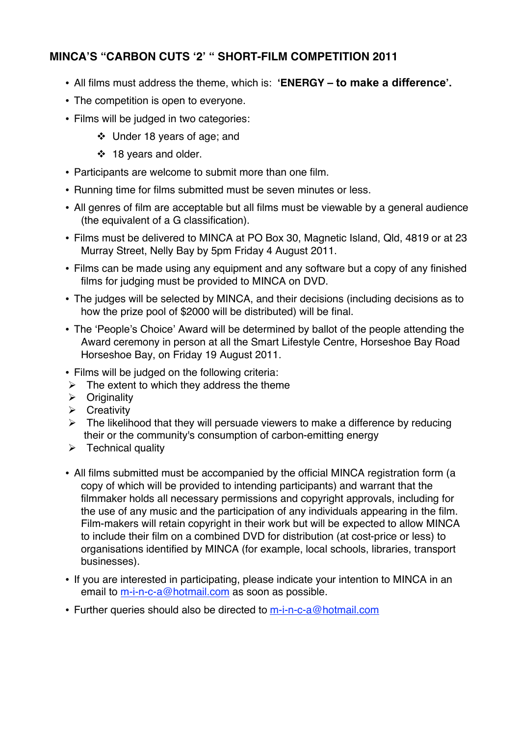## **MINCA'S "CARBON CUTS ʻ2' " SHORT-FILM COMPETITION 2011**

- All films must address the theme, which is: **ʻENERGY – to make a difference'.**
- The competition is open to everyone.
- Films will be judged in two categories:
	- Under 18 years of age; and
	- ❖ 18 years and older.
- Participants are welcome to submit more than one film.
- Running time for films submitted must be seven minutes or less.
- All genres of film are acceptable but all films must be viewable by a general audience (the equivalent of a G classification).
- Films must be delivered to MINCA at PO Box 30, Magnetic Island, Qld, 4819 or at 23 Murray Street, Nelly Bay by 5pm Friday 4 August 2011.
- Films can be made using any equipment and any software but a copy of any finished films for judging must be provided to MINCA on DVD.
- The judges will be selected by MINCA, and their decisions (including decisions as to how the prize pool of \$2000 will be distributed) will be final.
- The ʻPeople's Choice' Award will be determined by ballot of the people attending the Award ceremony in person at all the Smart Lifestyle Centre, Horseshoe Bay Road Horseshoe Bay, on Friday 19 August 2011.
- Films will be judged on the following criteria:
- $\triangleright$  The extent to which they address the theme
- $\triangleright$  Originality
- $\triangleright$  Creativity
- $\triangleright$  The likelihood that they will persuade viewers to make a difference by reducing their or the community's consumption of carbon-emitting energy
- $\triangleright$  Technical quality
- All films submitted must be accompanied by the official MINCA registration form (a copy of which will be provided to intending participants) and warrant that the filmmaker holds all necessary permissions and copyright approvals, including for the use of any music and the participation of any individuals appearing in the film. Film-makers will retain copyright in their work but will be expected to allow MINCA to include their film on a combined DVD for distribution (at cost-price or less) to organisations identified by MINCA (for example, local schools, libraries, transport businesses).
- If you are interested in participating, please indicate your intention to MINCA in an email to m-i-n-c-a@hotmail.com as soon as possible.
- Further queries should also be directed to m-i-n-c-a@hotmail.com